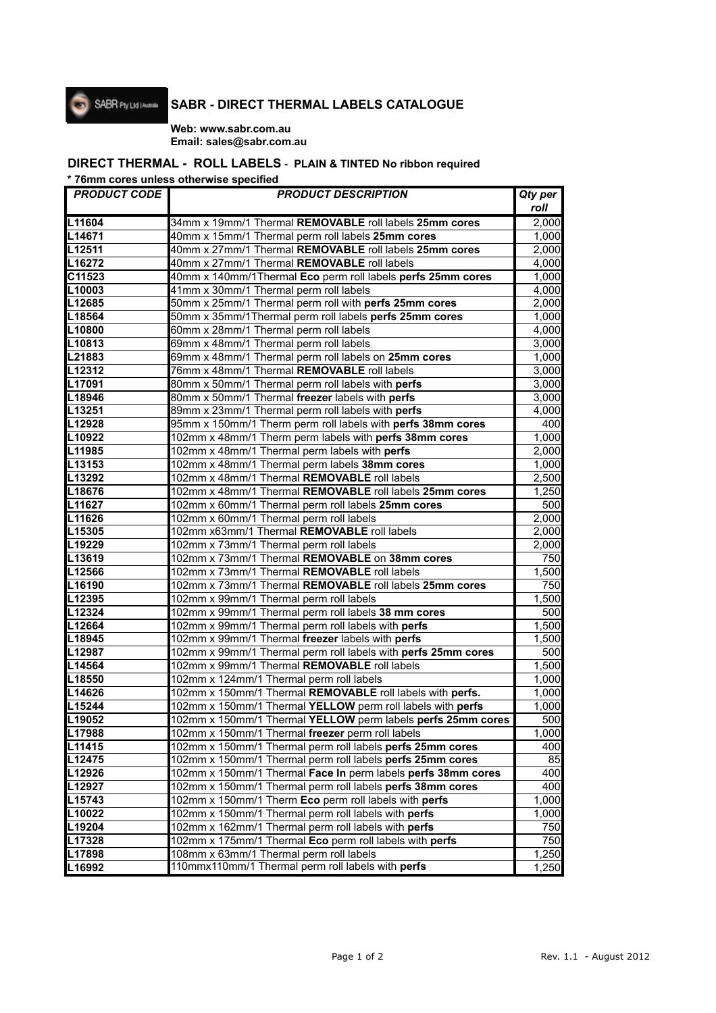

# **SABR - DIRECT THERMAL LABELS CATALOGUE**

#### **Web: www.sabr.com.au Email: sales@sabr.com.au**

### **DIRECT THERMAL - ROLL LABELS** - **PLAIN & TINTED No ribbon required**

**\* 76mm cores unless otherwise specified**

| <b>PRODUCT CODE</b> | <b>PRODUCT DESCRIPTION</b>                                    | Qty per |
|---------------------|---------------------------------------------------------------|---------|
|                     |                                                               | roll    |
| L11604              | 34mm x 19mm/1 Thermal REMOVABLE roll labels 25mm cores        | 2,000   |
| L14671              | 40mm x 15mm/1 Thermal perm roll labels 25mm cores             | 1,000   |
| L12511              | 40mm x 27mm/1 Thermal REMOVABLE roll labels 25mm cores        | 2,000   |
| L16272              | 40mm x 27mm/1 Thermal REMOVABLE roll labels                   | 4,000   |
| $C11\overline{523}$ | 40mm x 140mm/1Thermal Eco perm roll labels perfs 25mm cores   | 1,000   |
| L10003              | 41mm x 30mm/1 Thermal perm roll labels                        | 4,000   |
| L12685              | 50mm x 25mm/1 Thermal perm roll with perfs 25mm cores         | 2,000   |
| L18564              | 50mm x 35mm/1Thermal perm roll labels perfs 25mm cores        | 1,000   |
| L10800              | 60mm x 28mm/1 Thermal perm roll labels                        | 4,000   |
| L10813              | 69mm x 48mm/1 Thermal perm roll labels                        | 3,000   |
| L21883              | 69mm x 48mm/1 Thermal perm roll labels on 25mm cores          | 1,000   |
| L12312              | 76mm x 48mm/1 Thermal REMOVABLE roll labels                   | 3,000   |
| L17091              | 80mm x 50mm/1 Thermal perm roll labels with perfs             | 3,000   |
| L18946              | 80mm x 50mm/1 Thermal freezer labels with perfs               | 3,000   |
| L13251              | 89mm x 23mm/1 Thermal perm roll labels with perfs             | 4,000   |
| L12928              | 95mm x 150mm/1 Therm perm roll labels with perfs 38mm cores   | 400     |
| L10922              | 102mm x 48mm/1 Therm perm labels with perfs 38mm cores        | 1,000   |
| L11985              | 102mm x 48mm/1 Thermal perm labels with perfs                 | 2,000   |
| L13153              | 102mm x 48mm/1 Thermal perm labels 38mm cores                 | 1,000   |
| L13292              | 102mm x 48mm/1 Thermal REMOVABLE roll labels                  | 2,500   |
| L18676              | 102mm x 48mm/1 Thermal REMOVABLE roll labels 25mm cores       | 1,250   |
| L11627              | 102mm x 60mm/1 Thermal perm roll labels 25mm cores            | 500     |
| L11626              | 102mm x 60mm/1 Thermal perm roll labels                       | 2,000   |
| L15305              | 102mm x63mm/1 Thermal REMOVABLE roll labels                   | 2,000   |
| L19229              | 102mm x 73mm/1 Thermal perm roll labels                       | 2,000   |
| L13619              | 102mm x 73mm/1 Thermal REMOVABLE on 38mm cores                | 750     |
| L12566              | 102mm x 73mm/1 Thermal REMOVABLE roll labels                  | 1,500   |
| L16190              | 102mm x 73mm/1 Thermal REMOVABLE roll labels 25mm cores       | 750     |
| L12395              | 102mm x 99mm/1 Thermal perm roll labels                       | 1,500   |
| L12324              | 102mm x 99mm/1 Thermal perm roll labels 38 mm cores           | 500     |
| L12664              | 102mm x 99mm/1 Thermal perm roll labels with perfs            | 1,500   |
| L18945              | 102mm x 99mm/1 Thermal freezer labels with perfs              | 1,500   |
| L12987              | 102mm x 99mm/1 Thermal perm roll labels with perfs 25mm cores | 500     |
| L14564              | 102mm x 99mm/1 Thermal REMOVABLE roll labels                  | 1,500   |
| L18550              | 102mm x 124mm/1 Thermal perm roll labels                      | 1,000   |
| L14626              | 102mm x 150mm/1 Thermal REMOVABLE roll labels with perfs.     | 1,000   |
| L15244              | 102mm x 150mm/1 Thermal YELLOW perm roll labels with perfs    | 1,000   |
| L19052              | 102mm x 150mm/1 Thermal YELLOW perm labels perfs 25mm cores   | 500     |
| L17988              | 102mm x 150mm/1 Thermal freezer perm roll labels              | 1,000   |
| L11415              | 102mm x 150mm/1 Thermal perm roll labels perfs 25mm cores     | 400     |
| L12475              | 102mm x 150mm/1 Thermal perm roll labels perfs 25mm cores     | 85      |
| L12926              | 102mm x 150mm/1 Thermal Face In perm labels perfs 38mm cores  | 400     |
| L12927              | 102mm x 150mm/1 Thermal perm roll labels perfs 38mm cores     | 400     |
| L15743              | 102mm x 150mm/1 Therm Eco perm roll labels with perfs         | 1,000   |
| L10022              | 102mm x 150mm/1 Thermal perm roll labels with perfs           | 1,000   |
| L19204              | 102mm x 162mm/1 Thermal perm roll labels with perfs           | 750     |
| L17328              | 102mm x 175mm/1 Thermal Eco perm roll labels with perfs       | 750     |
| L17898              | 108mm x 63mm/1 Thermal perm roll labels                       | 1,250   |
| L16992              | 110mmx110mm/1 Thermal perm roll labels with perfs             | 1,250   |